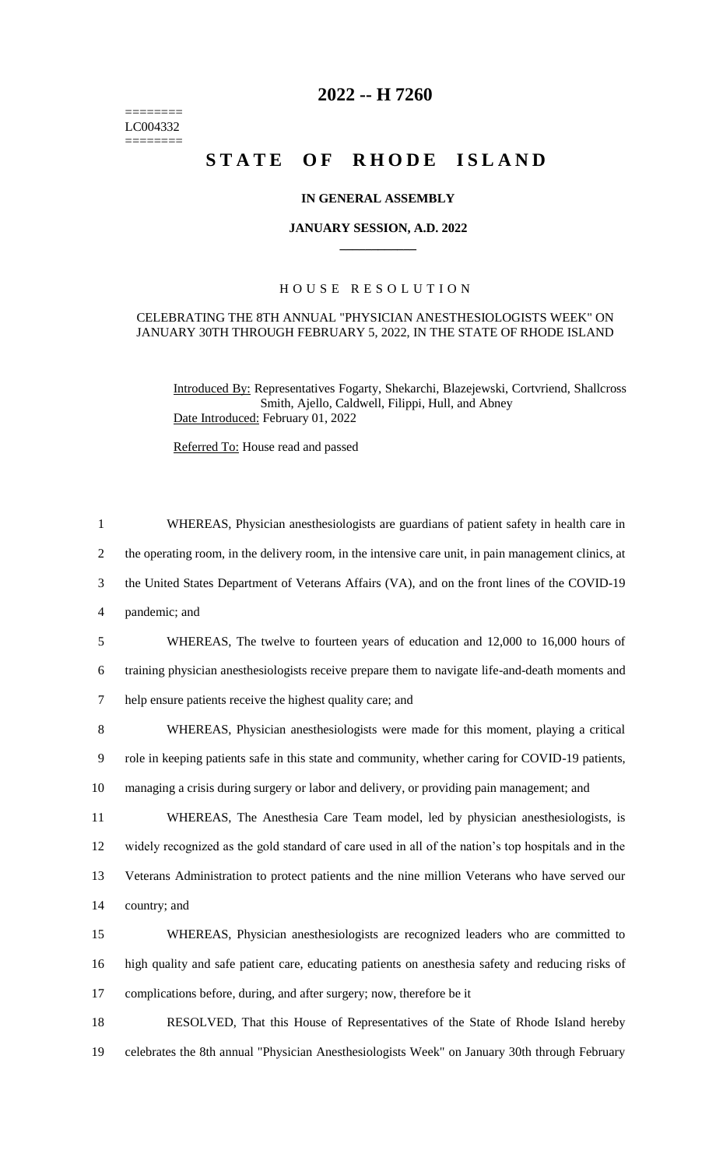======== LC004332  $=$ 

# **2022 -- H 7260**

# **STATE OF RHODE ISLAND**

## **IN GENERAL ASSEMBLY**

### **JANUARY SESSION, A.D. 2022 \_\_\_\_\_\_\_\_\_\_\_\_**

## H O U S E R E S O L U T I O N

### CELEBRATING THE 8TH ANNUAL "PHYSICIAN ANESTHESIOLOGISTS WEEK" ON JANUARY 30TH THROUGH FEBRUARY 5, 2022, IN THE STATE OF RHODE ISLAND

Introduced By: Representatives Fogarty, Shekarchi, Blazejewski, Cortvriend, Shallcross Smith, Ajello, Caldwell, Filippi, Hull, and Abney Date Introduced: February 01, 2022

Referred To: House read and passed

| $\mathbf{1}$ | WHEREAS, Physician anesthesiologists are guardians of patient safety in health care in               |
|--------------|------------------------------------------------------------------------------------------------------|
| 2            | the operating room, in the delivery room, in the intensive care unit, in pain management clinics, at |
| 3            | the United States Department of Veterans Affairs (VA), and on the front lines of the COVID-19        |
| 4            | pandemic; and                                                                                        |
| 5            | WHEREAS, The twelve to fourteen years of education and 12,000 to 16,000 hours of                     |
| 6            | training physician anesthesiologists receive prepare them to navigate life-and-death moments and     |
| $\tau$       | help ensure patients receive the highest quality care; and                                           |
| 8            | WHEREAS, Physician anesthesiologists were made for this moment, playing a critical                   |
| 9            | role in keeping patients safe in this state and community, whether caring for COVID-19 patients,     |
| 10           | managing a crisis during surgery or labor and delivery, or providing pain management; and            |
| 11           | WHEREAS, The Anesthesia Care Team model, led by physician anesthesiologists, is                      |
| 12           | widely recognized as the gold standard of care used in all of the nation's top hospitals and in the  |
| 13           | Veterans Administration to protect patients and the nine million Veterans who have served our        |
| 14           | country; and                                                                                         |
| 15           | WHEREAS, Physician anesthesiologists are recognized leaders who are committed to                     |
| 16           | high quality and safe patient care, educating patients on anesthesia safety and reducing risks of    |
| 17           | complications before, during, and after surgery; now, therefore be it                                |
|              |                                                                                                      |

18 RESOLVED, That this House of Representatives of the State of Rhode Island hereby 19 celebrates the 8th annual "Physician Anesthesiologists Week" on January 30th through February